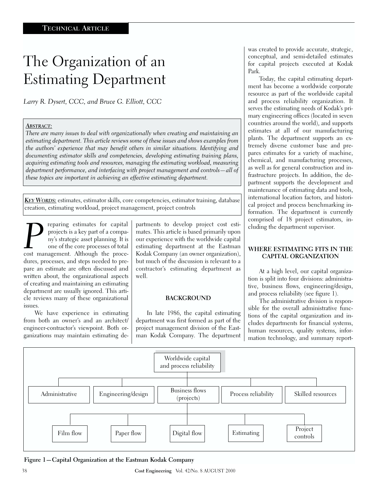# The Organization of an Estimating Department

*Larry R. Dysert, CCC, and Bruce G. Elliott, CCC*

### *ABSTRACT:*

*There are many issues to deal with organizationally when creating and maintaining an estimating department. This article reviews some of these issues and shows examples from the authors' experience that may benefit others in similar situations. Identifying and documenting estimator skills and competencies, developing estimating training plans, acquiring estimating tools and resources, managing the estimating workload, measuring department performance, and interfacing with project management and controls—all of these topics are important in achieving an effective estimating department.*

*KEY WORDS:* estimates, estimator skills, core competencies, estimator training, database creation, estimating workload, project management, project controls

**Preparing estimates for capital**<br>projects is a key part of a compa-<br>ny's strategic asset planning. It is<br>one of the core processes of total<br>cost management. Although the proceprojects is a key part of a company's strategic asset planning. It is one of the core processes of total dures, processes, and steps needed to prepare an estimate are often discussed and written about, the organizational aspects of creating and maintaining an estimating department are usually ignored. This article reviews many of these organizational issues.

We have experience in estimating from both an owner's and an architect/ engineer-contractor's viewpoint. Both organizations may maintain estimating departments to develop project cost estimates. This article is based primarily upon our experience with the worldwide capital estimating department at the Eastman Kodak Company (an owner organization), but much of the discussion is relevant to a contractor's estimating department as well.

#### **BACKGROUND**

In late 1986, the capital estimating department was first formed as part of the project management division of the Eastman Kodak Company. The department was created to provide accurate, strategic, conceptual, and semi-detailed estimates for capital projects executed at Kodak Park.

Today, the capital estimating department has become a worldwide corporate resource as part of the worldwide capital and process reliability organization. It serves the estimating needs of Kodak's primary engineering offices (located in seven countries around the world), and supports estimates at all of our manufacturing plants. The department supports an extremely diverse customer base and prepares estimates for a variety of machine, chemical, and manufacturing processes, as well as for general construction and infrastructure projects. In addition, the department supports the development and maintenance of estimating data and tools, international location factors, and historical project and process benchmarking information. The department is currently comprised of 18 project estimators, including the department supervisor.

#### **WHERE ESTIMATING FITS IN THE CAPITAL ORGANIZATION**

At a high level, our capital organization is split into four divisions: administrative, business flows, engineering/design, and process reliability (see figure 1).

The administrative division is responsible for the overall administrative functions of the capital organization and includes departments for financial systems, human resources, quality systems, information technology, and summary report-



**Figure 1—Capital Organization at the Eastman Kodak Company**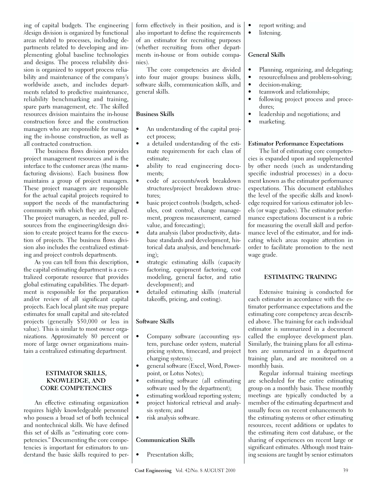ing of capital budgets. The engineering /design division is organized by functional areas related to processes, including departments related to developing and implementing global baseline technologies and designs. The process reliability division is organized to support process reliability and maintenance of the company's worldwide assets, and includes departments related to predictive maintenance, reliability benchmarking and training, spare parts management, etc. The skilled resources division maintains the in-house construction force and the construction managers who are responsible for managing the in-house construction, as well as all contracted construction.

The business flows division provides project management resources and is the interface to the customer areas (the manufacturing divisions). Each business flow maintains a group of project managers. These project managers are responsible for the actual capital projects required to support the needs of the manufacturing community with which they are aligned. The project managers, as needed, pull resources from the engineering/design division to create project teams for the execution of projects. The business flows division also includes the centralized estimating and project controls departments.

As you can tell from this description, the capital estimating department is a centralized corporate resource that provides global estimating capabilities. The department is responsible for the preparation and/or review of all significant capital projects. Each local plant site may prepare estimates for small capital and site-related projects (generally \$50,000 or less in value). This is similar to most owner organizations. Approximately 80 percent or more of large owner organizations maintain a centralized estimating department.

#### **ESTIMATOR SKILLS, KNOWLEDGE, AND CORE COMPETENCIES**

An effective estimating organization requires highly knowledgeable personnel who possess a broad set of both technical and nontechnical skills. We have defined this set of skills as "estimating core competencies." Documenting the core competencies is important for estimators to understand the basic skills required to perform effectively in their position, and is also important to define the requirements of an estimator for recruiting purposes (whether recruiting from other departments in-house or from outside companies).

The core competencies are divided into four major groups: business skills, software skills, communication skills, and general skills.

#### **Business Skills**

- An understanding of the capital project process;
- a detailed understanding of the estimate requirements for each class of estimate;
- ability to read engineering documents;
- code of accounts/work breakdown structures/project breakdown structures;
- basic project controls (budgets, schedules, cost control, change management, progress measurement, earned value, and forecasting);
- data analysis (labor productivity, database standards and development, historical data analysis, and benchmarking);
- strategic estimating skills (capacity factoring, equipment factoring, cost modeling, general factor, and ratio development); and
- detailed estimating skills (material takeoffs, pricing, and costing).

#### **Software Skills**

- Company software (accounting system, purchase order system, material pricing system, timecard, and project charging systems);
- general software (Excel, Word, Powerpoint, or Lotus Notes);
- estimating software (all estimating software used by the department);
- estimating workload reporting system;
- project historical retrieval and analysis system; and
- risk analysis software.

# **Communication Skills**

Presentation skills;

- report writing; and
- listening.

# **General Skills**

- Planning, organizing, and delegating;
- resourcefulness and problem-solving;
- decision-making;
- teamwork and relationships;
- following project process and procedures;
- leadership and negotiations; and
- marketing.

# **Estimator Performance Expectations**

The list of estimating core competencies is expanded upon and supplemented by other needs (such as understanding specific industrial processes) in a document known as the estimator performance expectations. This document establishes the level of the specific skills and knowledge required for various estimator job levels (or wage grades). The estimator performance expectations document is a rubric for measuring the overall skill and performance level of the estimator, and for indicating which areas require attention in order to facilitate promotion to the next wage grade.

# **ESTIMATING TRAINING**

Extensive training is conducted for each estimator in accordance with the estimator performance expectations and the estimating core competency areas described above. The training for each individual estimator is summarized in a document called the employee development plan. Similarly, the training plans for all estimators are summarized in a department training plan, and are monitored on a monthly basis.

Regular informal training meetings are scheduled for the entire estimating group on a monthly basis. These monthly meetings are typically conducted by a member of the estimating department and usually focus on recent enhancements to the estimating systems or other estimating resources, recent additions or updates to the estimating item cost database, or the sharing of experiences on recent large or significant estimates. Although most training sessions are taught by senior estimators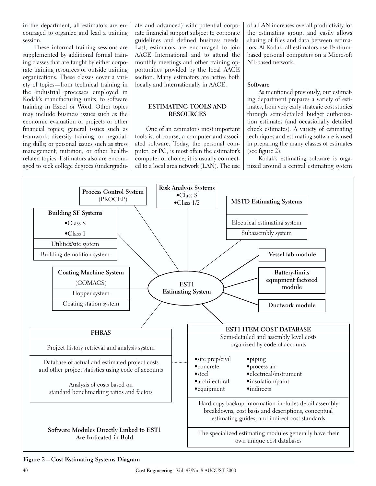in the department, all estimators are encouraged to organize and lead a training session.

These informal training sessions are supplemented by additional formal training classes that are taught by either corporate training resources or outside training organizations. These classes cover a variety of topics—from technical training in the industrial processes employed in Kodak's manufacturing units, to software training in Excel or Word. Other topics may include business issues such as the economic evaluation of projects or other financial topics; general issues such as teamwork, diversity training, or negotiating skills; or personal issues such as stress management, nutrition, or other healthrelated topics. Estimators also are encouraged to seek college degrees (undergraduate and advanced) with potential corporate financial support subject to corporate guidelines and defined business needs. Last, estimators are encouraged to join AACE International and to attend the monthly meetings and other training opportunities provided by the local AACE section. Many estimators are active both locally and internationally in AACE.

#### **ESTIMATING TOOLS AND RESOURCES**

One of an estimator's most important tools is, of course, a computer and associated software. Today, the personal computer, or PC, is most often the estimator's computer of choice; it is usually connected to a local area network (LAN). The use of a LAN increases overall productivity for the estimating group, and easily allows sharing of files and data between estimators. At Kodak, all estimators use Pentiumbased personal computers on a Microsoft NT-based network.

# **Software**

As mentioned previously, our estimating department prepares a variety of estimates, from very early strategic cost studies through semi-detailed budget authorization estimates (and occasionally detailed check estimates). A variety of estimating techniques and estimating software is used in preparing the many classes of estimates (see figure 2).

Kodak's estimating software is organized around a central estimating system



**Figure 2—Cost Estimating Systems Diagram**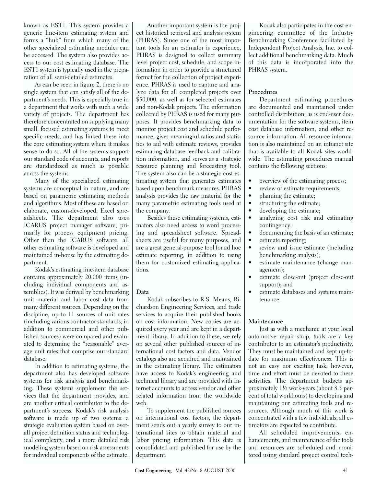known as EST1. This system provides a generic line-item estimating system and forms a "hub" from which many of the other specialized estimating modules can be accessed. The system also provides access to our cost estimating database. The EST1 system is typically used in the preparation of all semi-detailed estimates.

As can be seen in figure 2, there is no single system that can satisfy all of the department's needs. This is especially true in a department that works with such a wide variety of projects. The department has therefore concentrated on supplying many small, focused estimating systems to meet specific needs, and has linked these into the core estimating system where it makes sense to do so. All of the systems support our standard code of accounts, and reports are standardized as much as possible across the systems.

Many of the specialized estimating systems are conceptual in nature, and are based on parametric estimating methods and algorithms. Most of these are based on elaborate, custom-developed, Excel spreadsheets. The department also uses ICARUS project manager software, primarily for process equipment pricing. Other than the ICARUS software, all other estimating software is developed and maintained in-house by the estimating department.

Kodak's estimating line-item database contains approximately 20,000 items (including individual components and assemblies). It was derived by benchmarking unit material and labor cost data from many different sources. Depending on the discipline, up to 11 sources of unit rates (including various contractor standards, in addition to commercial and other published sources) were compared and evaluated to determine the "reasonable" average unit rates that comprise our standard database.

In addition to estimating systems, the department also has developed software systems for risk analysis and benchmarking. These systems supplement the services that the department provides, and are another critical contributor to the department's success. Kodak's risk analysis software is made up of two systems: a strategic evaluation system based on overall project definition status and technological complexity, and a more detailed risk modeling system based on risk assessments for individual components of the estimate.

Another important system is the project historical retrieval and analysis system (PHRAS). Since one of the most important tools for an estimator is experience, PHRAS is designed to collect summary level project cost, schedule, and scope information in order to provide a structured format for the collection of project experience. PHRAS is used to capture and analyze data for all completed projects over \$50,000, as well as for selected estimates and non-Kodak projects. The information collected by PHRAS is used for many purposes. It provides benchmarking data to monitor project cost and schedule performance, gives meaningful ratios and statistics to aid with estimate reviews, provides estimating database feedback and calibration information, and serves as a strategic resource planning and forecasting tool. The system also can be a strategic cost estimating system that generates estimates based upon benchmark measures. PHRAS analysis provides the raw material for the many parametric estimating tools used at the company.

Besides these estimating systems, estimators also need access to word processing and spreadsheet software. Spreadsheets are useful for many purposes, and are a great general-purpose tool for ad hoc estimate reporting, in addition to using them for customized estimating applications.

#### **Data**

Kodak subscribes to R.S. Means, Richardson Engineering Services, and trade services to acquire their published books on cost information. New copies are acquired every year and are kept in a department library. In addition to these, we rely on several other published sources of international cost factors and data. Vendor catalogs also are acquired and maintained in the estimating library. The estimators have access to Kodak's engineering and technical library and are provided with Internet accounts to access vendor and other related information from the worldwide web.

To supplement the published sources on international cost factors, the department sends out a yearly survey to our international sites to obtain material and labor pricing information. This data is consolidated and published for use by the department.

Kodak also participates in the cost engineering committee of the Industry Benchmarking Conference facilitated by Independent Project Analysis, Inc. to collect additional benchmarking data. Much of this data is incorporated into the PHRAS system.

# **Procedures**

Department estimating procedures are documented and maintained under controlled distribution, as is end-user documentation for the software systems, item cost database information, and other resource information. All resource information is also maintained on an intranet site that is available to all Kodak sites worldwide. The estimating procedures manual contains the following sections:

- overview of the estimating process;
- review of estimate requirements;
- planning the estimate;
- structuring the estimate;
- developing the estimate;
- analyzing cost risk and estimating contingency;
- documenting the basis of an estimate;
- estimate reporting;
- review and issue estimate (including benchmarking analysis);
- estimate maintenance (change management);
- estimate close-out (project close-out support); and
- estimate databases and systems maintenance.

#### **Maintenance**

Just as with a mechanic at your local automotive repair shop, tools are a key contributor to an estimator's productivity. They must be maintained and kept up-todate for maximum effectiveness. This is not an easy nor exciting task; however, time and effort must be devoted to these activities. The department budgets approximately 1½ work-years (about 8.5 percent of total workhours) to developing and maintaining our estimating tools and resources. Although much of this work is concentrated with a few individuals, all estimators are expected to contribute.

All scheduled improvements, enhancements, and maintenance of the tools and resources are scheduled and monitored using standard project control tech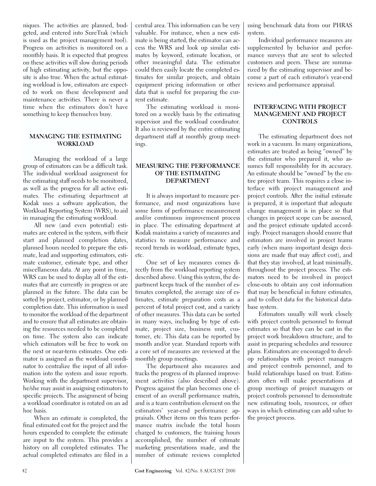niques. The activities are planned, budgeted, and entered into SureTrak (which is used as the project management tool). Progress on activities is monitored on a monthly basis. It is expected that progress on these activities will slow during periods of high estimating activity, but the opposite is also true. When the actual estimating workload is low, estimators are expected to work on these development and maintenance activities. There is never a time when the estimators don't have something to keep themselves busy.

#### **MANAGING THE ESTIMATING WORKLOAD**

Managing the workload of a large group of estimators can be a difficult task. The individual workload assignment for the estimating staff needs to be monitored, as well as the progress for all active estimates. The estimating department at Kodak uses a software application, the Workload Reporting System (WRS), to aid in managing the estimating workload.

All new (and even potential) estimates are entered in the system, with their start and planned completion dates, planned hours needed to prepare the estimate, lead and supporting estimators, estimate customer, estimate type, and other miscellaneous data. At any point in time, WRS can be used to display all of the estimates that are currently in progress or are planned in the future. The data can be sorted by project, estimator, or by planned completion date. This information is used to monitor the workload of the department and to ensure that all estimates are obtaining the resources needed to be completed on time. The system also can indicate which estimators will be free to work on the next or near-term estimates. One estimator is assigned as the workload coordinator to centralize the input of all information into the system and issue reports. Working with the department supervisor, he/she may assist in assigning estimators to specific projects. The assignment of being a workload coordinator is rotated on an ad hoc basis.

When an estimate is completed, the final estimated cost for the project and the hours expended to complete the estimate are input to the system. This provides a history on all completed estimates. The actual completed estimates are filed in a

central area. This information can be very valuable. For instance, when a new estimate is being started, the estimator can access the WRS and look up similar estimates by keyword, estimate location, or other meaningful data. The estimator could then easily locate the completed estimates for similar projects, and obtain equipment pricing information or other data that is useful for preparing the current estimate.

The estimating workload is monitored on a weekly basis by the estimating supervisor and the workload coordinator. It also is reviewed by the entire estimating department staff at monthly group meetings.

#### **MEASURING THE PERFORMANCE OF THE ESTIMATING DEPARTMENT**

It is always important to measure performance, and most organizations have some form of performance measurement and/or continuous improvement process in place. The estimating department at Kodak maintains a variety of measures and statistics to measure performance and record trends in workload, estimate types, etc.

One set of key measures comes directly from the workload reporting system described above. Using this system, the department keeps track of the number of estimates completed, the average size of estimates, estimate preparation costs as a percent of total project cost, and a variety of other measures. This data can be sorted in many ways, including by type of estimate, project size, business unit, customer, etc. This data can be reported by month and/or year. Standard reports with a core set of measures are reviewed at the monthly group meetings.

The department also measures and tracks the progress of its planned improvement activities (also described above). Progress against the plan becomes one element of an overall performance matrix, and is a team contribution element on the estimators' year-end performance appraisals. Other items on this team performance matrix include the total hours charged to customers, the training hours accomplished, the number of estimate marketing presentations made, and the number of estimate reviews completed using benchmark data from our PHRAS system.

Individual performance measures are supplemented by behavior and performance surveys that are sent to selected customers and peers. These are summarized by the estimating supervisor and become a part of each estimator's year-end reviews and performance appraisal.

#### **INTERFACING WITH PROJECT MANAGEMENT AND PROJECT CONTROLS**

The estimating department does not work in a vacuum. In many organizations, estimates are treated as being "owned" by the estimator who prepared it, who assumes full responsibility for its accuracy. An estimate should be "owned" by the entire project team. This requires a close interface with project management and project controls. After the initial estimate is prepared, it is important that adequate change management is in place so that changes in project scope can be assessed, and the project estimate updated accordingly. Project managers should ensure that estimators are involved in project teams early (when many important design decisions are made that may affect cost), and that they stay involved, at least minimally, throughout the project process. The estimators need to be involved in project close-outs to obtain any cost information that may be beneficial in future estimates, and to collect data for the historical database system.

Estimators usually will work closely with project controls personnel to format estimates so that they can be cast in the project work breakdown structure, and to assist in preparing schedules and resource plans. Estimators are encouraged to develop relationships with project managers and project controls personnel, and to build relationships based on trust. Estimators often will make presentations at group meetings of project managers or project controls personnel to demonstrate new estimating tools, resources, or other ways in which estimating can add value to the project process.